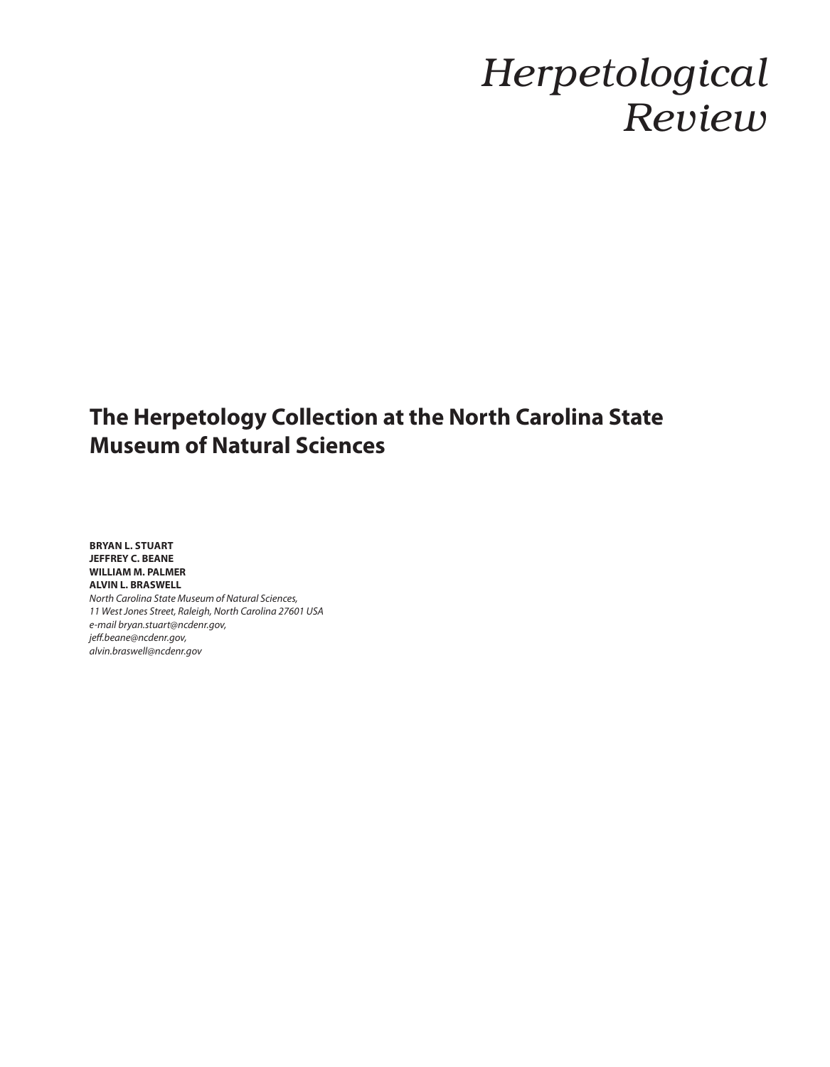## *Herpetological Review*

## **the herpetology Collection at the North Carolina state museum of Natural sciences**

**BRYAN L. STUART JeFFreY C. beANe williAm m. pAlmer AlviN l. brAswell** *North Carolina State Museum of Natural Sciences, 11 West Jones Street, Raleigh, North Carolina 27601 USA e-mail bryan.stuart@ncdenr.gov, jeff.beane@ncdenr.gov, alvin.braswell@ncdenr.gov*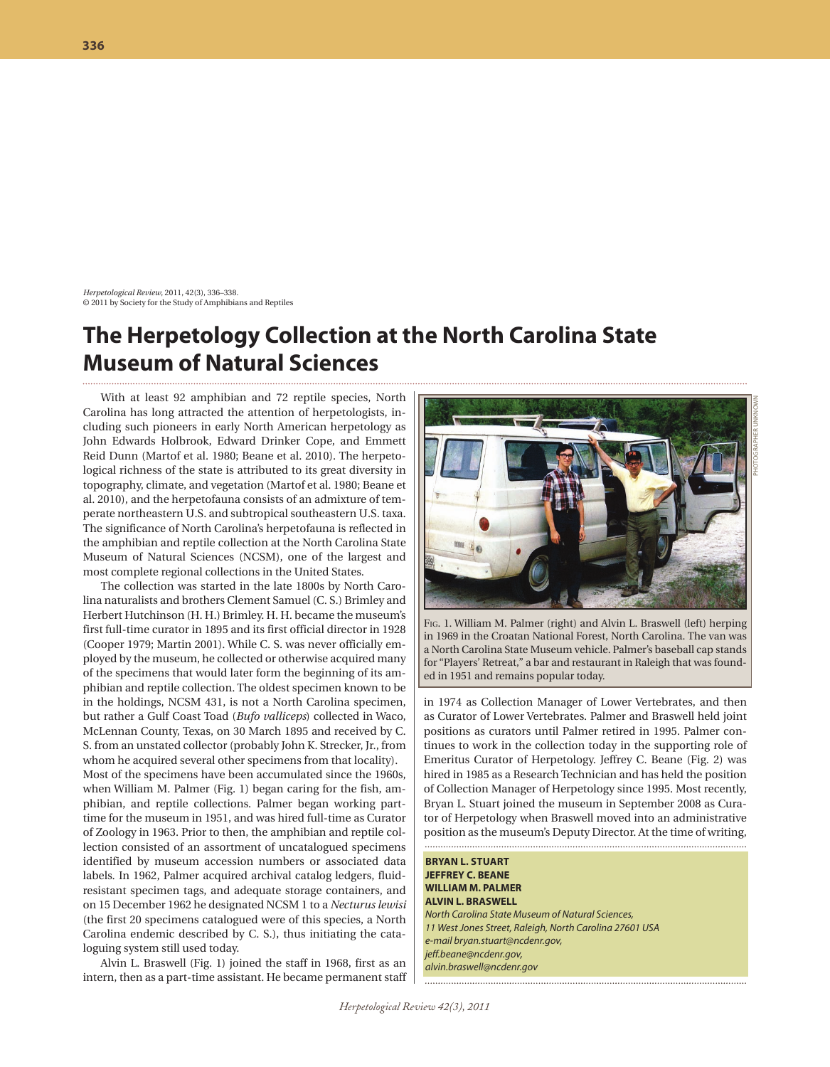*Herpetological Review*, 2011, 42(3), 336–338. © 2011 by Society for the Study of Amphibians and Reptiles

## **the herpetology Collection at the North Carolina state museum of Natural sciences**

With at least 92 amphibian and 72 reptile species, North Carolina has long attracted the attention of herpetologists, including such pioneers in early North American herpetology as John Edwards Holbrook, Edward Drinker Cope, and Emmett Reid Dunn (Martof et al. 1980; Beane et al. 2010). The herpetological richness of the state is attributed to its great diversity in topography, climate, and vegetation (Martof et al. 1980; Beane et al. 2010), and the herpetofauna consists of an admixture of temperate northeastern U.S. and subtropical southeastern U.S. taxa. The significance of North Carolina's herpetofauna is reflected in the amphibian and reptile collection at the North Carolina State Museum of Natural Sciences (NCSM), one of the largest and most complete regional collections in the United States.

The collection was started in the late 1800s by North Carolina naturalists and brothers Clement Samuel (C. S.) Brimley and Herbert Hutchinson (H. H.) Brimley. H. H. became the museum's first full-time curator in 1895 and its first official director in 1928 (Cooper 1979; Martin 2001). While C. S. was never officially employed by the museum, he collected or otherwise acquired many of the specimens that would later form the beginning of its amphibian and reptile collection. The oldest specimen known to be in the holdings, NCSM 431, is not a North Carolina specimen, but rather a Gulf Coast Toad (*Bufo valliceps*) collected in Waco, McLennan County, Texas, on 30 March 1895 and received by C. S. from an unstated collector (probably John K. Strecker, Jr., from whom he acquired several other specimens from that locality). Most of the specimens have been accumulated since the 1960s, when William M. Palmer (Fig. 1) began caring for the fish, amphibian, and reptile collections. Palmer began working parttime for the museum in 1951, and was hired full-time as Curator of Zoology in 1963. Prior to then, the amphibian and reptile collection consisted of an assortment of uncatalogued specimens identified by museum accession numbers or associated data labels. In 1962, Palmer acquired archival catalog ledgers, fluidresistant specimen tags, and adequate storage containers, and on 15 December 1962 he designated NCSM 1 to a *Necturus lewisi* (the first 20 specimens catalogued were of this species, a North Carolina endemic described by C. S.), thus initiating the cataloguing system still used today.

Alvin L. Braswell (Fig. 1) joined the staff in 1968, first as an intern, then as a part-time assistant. He became permanent staff



F<sub>IG</sub>. 1. William M. Palmer (right) and Alvin L. Braswell (left) herping in 1969 in the Croatan National Forest, North Carolina. The van was a North Carolina State Museum vehicle. Palmer's baseball cap stands

PHOTOGRAPHeR uNKNOWN

in 1974 as Collection Manager of Lower Vertebrates, and then as Curator of Lower Vertebrates. Palmer and Braswell held joint positions as curators until Palmer retired in 1995. Palmer continues to work in the collection today in the supporting role of Emeritus Curator of Herpetology. Jeffrey C. Beane (Fig. 2) was hired in 1985 as a Research Technician and has held the position of Collection Manager of Herpetology since 1995. Most recently, Bryan L. Stuart joined the museum in September 2008 as Curator of Herpetology when Braswell moved into an administrative position as the museum's Deputy Director. At the time of writing,

for "Players' Retreat," a bar and restaurant in Raleigh that was found-

ed in 1951 and remains popular today.

**BRYAN L. STUART JeFFreY C. beANe williAm m. pAlmer AlviN l. brAswell** *North Carolina State Museum of Natural Sciences, 11 West Jones Street, Raleigh, North Carolina 27601 USA e-mail bryan.stuart@ncdenr.gov, jeff.beane@ncdenr.gov, alvin.braswell@ncdenr.gov*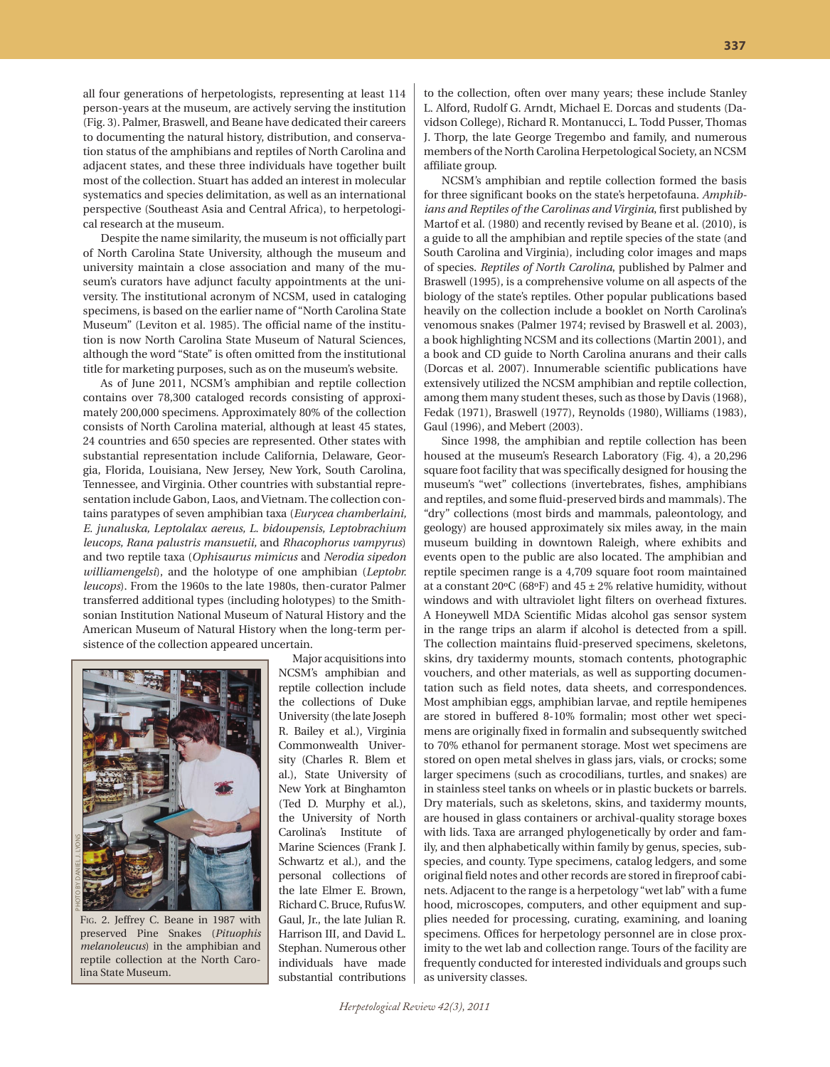all four generations of herpetologists, representing at least 114 person-years at the museum, are actively serving the institution (Fig. 3). Palmer, Braswell, and Beane have dedicated their careers to documenting the natural history, distribution, and conservation status of the amphibians and reptiles of North Carolina and adjacent states, and these three individuals have together built most of the collection. Stuart has added an interest in molecular systematics and species delimitation, as well as an international perspective (Southeast Asia and Central Africa), to herpetological research at the museum.

Despite the name similarity, the museum is not officially part of North Carolina State University, although the museum and university maintain a close association and many of the museum's curators have adjunct faculty appointments at the university. The institutional acronym of NCSM, used in cataloging specimens, is based on the earlier name of "North Carolina State Museum" (Leviton et al. 1985). The official name of the institution is now North Carolina State Museum of Natural Sciences, although the word "State" is often omitted from the institutional title for marketing purposes, such as on the museum's website.

As of June 2011, NCSM's amphibian and reptile collection contains over 78,300 cataloged records consisting of approximately 200,000 specimens. Approximately 80% of the collection consists of North Carolina material, although at least 45 states, 24 countries and 650 species are represented. Other states with substantial representation include California, Delaware, Georgia, Florida, Louisiana, New Jersey, New York, South Carolina, Tennessee, and Virginia. Other countries with substantial representation include Gabon, Laos, and Vietnam. The collection contains paratypes of seven amphibian taxa (*Eurycea chamberlaini, E. junaluska, Leptolalax aereus, L. bidoupensis, Leptobrachium leucops, Rana palustris mansuetii,* and *Rhacophorus vampyrus*) and two reptile taxa (*Ophisaurus mimicus* and *Nerodia sipedon williamengelsi*), and the holotype of one amphibian (*Leptobr. leucops*). From the 1960s to the late 1980s, then-curator Palmer transferred additional types (including holotypes) to the Smithsonian Institution National Museum of Natural History and the American Museum of Natural History when the long-term persistence of the collection appeared uncertain.



FIG. 2. Jeffrey C. Beane in 1987 with preserved Pine Snakes (*Pituophis melanoleucus*) in the amphibian and reptile collection at the North Carolina State Museum.

Major acquisitions into NCSM's amphibian and reptile collection include the collections of Duke University (the late Joseph R. Bailey et al.), Virginia Commonwealth University (Charles R. Blem et al.), State University of New York at Binghamton (Ted D. Murphy et al.), the University of North Carolina's Institute of Marine Sciences (Frank J. Schwartz et al.), and the personal collections of the late Elmer E. Brown, Richard C. Bruce, Rufus W. Gaul, Jr., the late Julian R. Harrison III, and David L. Stephan. Numerous other individuals have made substantial contributions to the collection, often over many years; these include Stanley L. Alford, Rudolf G. Arndt, Michael E. Dorcas and students (Davidson College), Richard R. Montanucci, L. Todd Pusser, Thomas J. Thorp, the late George Tregembo and family, and numerous members of the North Carolina Herpetological Society, an NCSM affiliate group.

NCSM's amphibian and reptile collection formed the basis for three significant books on the state's herpetofauna. *Amphibians and Reptiles of the Carolinas and Virginia*, first published by Martof et al. (1980) and recently revised by Beane et al. (2010), is a guide to all the amphibian and reptile species of the state (and South Carolina and Virginia), including color images and maps of species. *Reptiles of North Carolina*, published by Palmer and Braswell (1995), is a comprehensive volume on all aspects of the biology of the state's reptiles. Other popular publications based heavily on the collection include a booklet on North Carolina's venomous snakes (Palmer 1974; revised by Braswell et al. 2003), a book highlighting NCSM and its collections (Martin 2001), and a book and CD guide to North Carolina anurans and their calls (Dorcas et al. 2007). Innumerable scientific publications have extensively utilized the NCSM amphibian and reptile collection, among them many student theses, such as those by Davis (1968), Fedak (1971), Braswell (1977), Reynolds (1980), Williams (1983), Gaul (1996), and Mebert (2003).

Since 1998, the amphibian and reptile collection has been housed at the museum's Research Laboratory (Fig. 4), a 20,296 square foot facility that was specifically designed for housing the museum's "wet" collections (invertebrates, fishes, amphibians and reptiles, and some fluid-preserved birds and mammals). The "dry" collections (most birds and mammals, paleontology, and geology) are housed approximately six miles away, in the main museum building in downtown Raleigh, where exhibits and events open to the public are also located. The amphibian and reptile specimen range is a 4,709 square foot room maintained at a constant 20 $\textdegree$ C (68 $\textdegree$ F) and 45 ± 2% relative humidity, without windows and with ultraviolet light filters on overhead fixtures. A Honeywell MDA Scientific Midas alcohol gas sensor system in the range trips an alarm if alcohol is detected from a spill. The collection maintains fluid-preserved specimens, skeletons, skins, dry taxidermy mounts, stomach contents, photographic vouchers, and other materials, as well as supporting documentation such as field notes, data sheets, and correspondences. Most amphibian eggs, amphibian larvae, and reptile hemipenes are stored in buffered 8-10% formalin; most other wet specimens are originally fixed in formalin and subsequently switched to 70% ethanol for permanent storage. Most wet specimens are stored on open metal shelves in glass jars, vials, or crocks; some larger specimens (such as crocodilians, turtles, and snakes) are in stainless steel tanks on wheels or in plastic buckets or barrels. Dry materials, such as skeletons, skins, and taxidermy mounts, are housed in glass containers or archival-quality storage boxes with lids. Taxa are arranged phylogenetically by order and family, and then alphabetically within family by genus, species, subspecies, and county. Type specimens, catalog ledgers, and some original field notes and other records are stored in fireproof cabinets. Adjacent to the range is a herpetology "wet lab" with a fume hood, microscopes, computers, and other equipment and supplies needed for processing, curating, examining, and loaning specimens. Offices for herpetology personnel are in close proximity to the wet lab and collection range. Tours of the facility are frequently conducted for interested individuals and groups such as university classes.